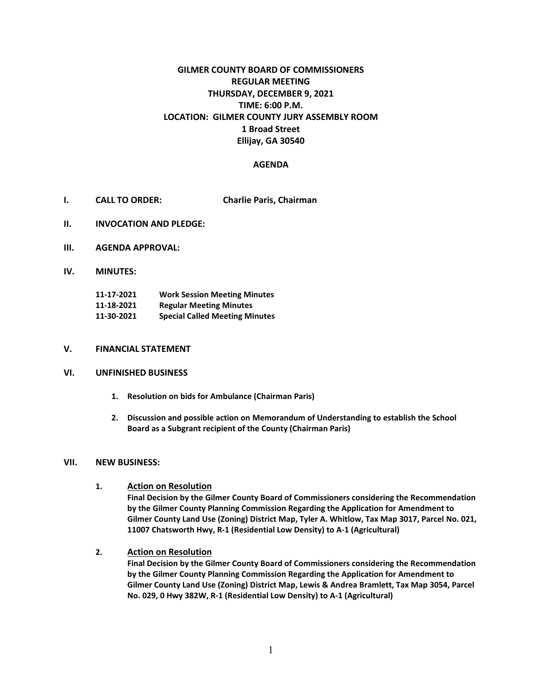# **GILMER COUNTY BOARD OF COMMISSIONERS REGULAR MEETING THURSDAY, DECEMBER 9, 2021 TIME: 6:00 P.M. LOCATION: GILMER COUNTY JURY ASSEMBLY ROOM 1 Broad Street Ellijay, GA 30540**

## **AGENDA**

- **I. CALL TO ORDER: Charlie Paris, Chairman**
- **II. INVOCATION AND PLEDGE:**
- **III. AGENDA APPROVAL:**
- **IV. MINUTES:**

| 11-17-2021 | <b>Work Session Meeting Minutes</b>   |
|------------|---------------------------------------|
| 11-18-2021 | <b>Regular Meeting Minutes</b>        |
| 11-30-2021 | <b>Special Called Meeting Minutes</b> |

### **V. FINANCIAL STATEMENT**

#### **VI. UNFINISHED BUSINESS**

- **1. Resolution on bids for Ambulance (Chairman Paris)**
- **2. Discussion and possible action on Memorandum of Understanding to establish the School Board as a Subgrant recipient of the County (Chairman Paris)**

#### **VII. NEW BUSINESS:**

**1. Action on Resolution**

**Final Decision by the Gilmer County Board of Commissioners considering the Recommendation by the Gilmer County Planning Commission Regarding the Application for Amendment to Gilmer County Land Use (Zoning) District Map, Tyler A. Whitlow, Tax Map 3017, Parcel No. 021, 11007 Chatsworth Hwy, R-1 (Residential Low Density) to A-1 (Agricultural)**

**2. Action on Resolution**

**Final Decision by the Gilmer County Board of Commissioners considering the Recommendation by the Gilmer County Planning Commission Regarding the Application for Amendment to Gilmer County Land Use (Zoning) District Map, Lewis & Andrea Bramlett, Tax Map 3054, Parcel No. 029, 0 Hwy 382W, R-1 (Residential Low Density) to A-1 (Agricultural)**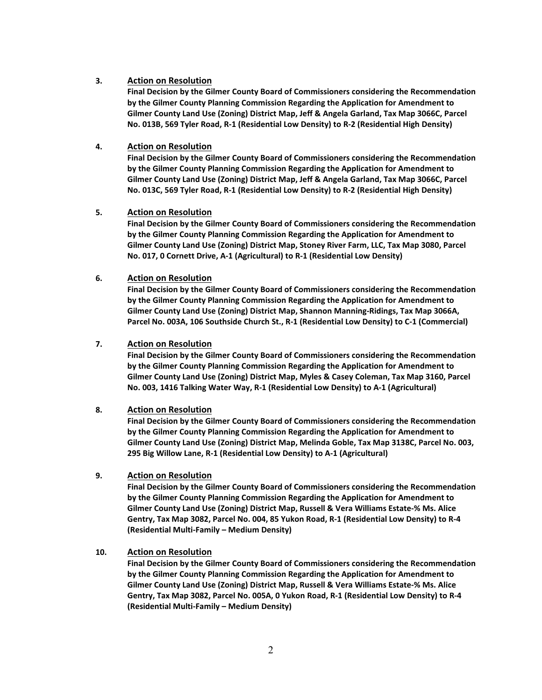## **3. Action on Resolution**

**Final Decision by the Gilmer County Board of Commissioners considering the Recommendation by the Gilmer County Planning Commission Regarding the Application for Amendment to Gilmer County Land Use (Zoning) District Map, Jeff & Angela Garland, Tax Map 3066C, Parcel No. 013B, 569 Tyler Road, R-1 (Residential Low Density) to R-2 (Residential High Density)**

## **4. Action on Resolution**

**Final Decision by the Gilmer County Board of Commissioners considering the Recommendation by the Gilmer County Planning Commission Regarding the Application for Amendment to Gilmer County Land Use (Zoning) District Map, Jeff & Angela Garland, Tax Map 3066C, Parcel No. 013C, 569 Tyler Road, R-1 (Residential Low Density) to R-2 (Residential High Density)**

## **5. Action on Resolution**

**Final Decision by the Gilmer County Board of Commissioners considering the Recommendation by the Gilmer County Planning Commission Regarding the Application for Amendment to Gilmer County Land Use (Zoning) District Map, Stoney River Farm, LLC, Tax Map 3080, Parcel No. 017, 0 Cornett Drive, A-1 (Agricultural) to R-1 (Residential Low Density)**

### **6. Action on Resolution**

**Final Decision by the Gilmer County Board of Commissioners considering the Recommendation by the Gilmer County Planning Commission Regarding the Application for Amendment to Gilmer County Land Use (Zoning) District Map, Shannon Manning-Ridings, Tax Map 3066A, Parcel No. 003A, 106 Southside Church St., R-1 (Residential Low Density) to C-1 (Commercial)**

### **7. Action on Resolution**

**Final Decision by the Gilmer County Board of Commissioners considering the Recommendation by the Gilmer County Planning Commission Regarding the Application for Amendment to Gilmer County Land Use (Zoning) District Map, Myles & Casey Coleman, Tax Map 3160, Parcel No. 003, 1416 Talking Water Way, R-1 (Residential Low Density) to A-1 (Agricultural)**

### **8. Action on Resolution**

**Final Decision by the Gilmer County Board of Commissioners considering the Recommendation by the Gilmer County Planning Commission Regarding the Application for Amendment to Gilmer County Land Use (Zoning) District Map, Melinda Goble, Tax Map 3138C, Parcel No. 003, 295 Big Willow Lane, R-1 (Residential Low Density) to A-1 (Agricultural)**

### **9. Action on Resolution**

**Final Decision by the Gilmer County Board of Commissioners considering the Recommendation by the Gilmer County Planning Commission Regarding the Application for Amendment to Gilmer County Land Use (Zoning) District Map, Russell & Vera Williams Estate-% Ms. Alice Gentry, Tax Map 3082, Parcel No. 004, 85 Yukon Road, R-1 (Residential Low Density) to R-4 (Residential Multi-Family – Medium Density)**

### **10. Action on Resolution**

**Final Decision by the Gilmer County Board of Commissioners considering the Recommendation by the Gilmer County Planning Commission Regarding the Application for Amendment to Gilmer County Land Use (Zoning) District Map, Russell & Vera Williams Estate-% Ms. Alice Gentry, Tax Map 3082, Parcel No. 005A, 0 Yukon Road, R-1 (Residential Low Density) to R-4 (Residential Multi-Family – Medium Density)**